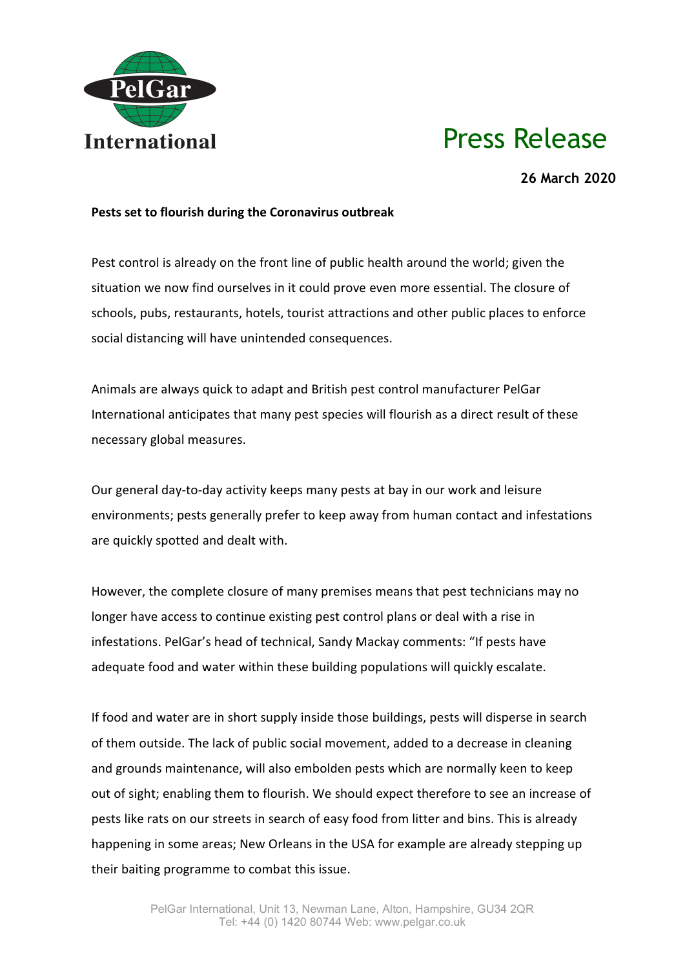

## Press Release

**26 March 2020**

## **Pests set to flourish during the Coronavirus outbreak**

Pest control is already on the front line of public health around the world; given the situation we now find ourselves in it could prove even more essential. The closure of schools, pubs, restaurants, hotels, tourist attractions and other public places to enforce social distancing will have unintended consequences.

Animals are always quick to adapt and British pest control manufacturer PelGar International anticipates that many pest species will flourish as a direct result of these necessary global measures.

Our general day-to-day activity keeps many pests at bay in our work and leisure environments; pests generally prefer to keep away from human contact and infestations are quickly spotted and dealt with.

However, the complete closure of many premises means that pest technicians may no longer have access to continue existing pest control plans or deal with a rise in infestations. PelGar's head of technical, Sandy Mackay comments: "If pests have adequate food and water within these building populations will quickly escalate.

If food and water are in short supply inside those buildings, pests will disperse in search of them outside. The lack of public social movement, added to a decrease in cleaning and grounds maintenance, will also embolden pests which are normally keen to keep out of sight; enabling them to flourish. We should expect therefore to see an increase of pests like rats on our streets in search of easy food from litter and bins. This is already happening in some areas; New Orleans in the USA for example are already stepping up their baiting programme to combat this issue.